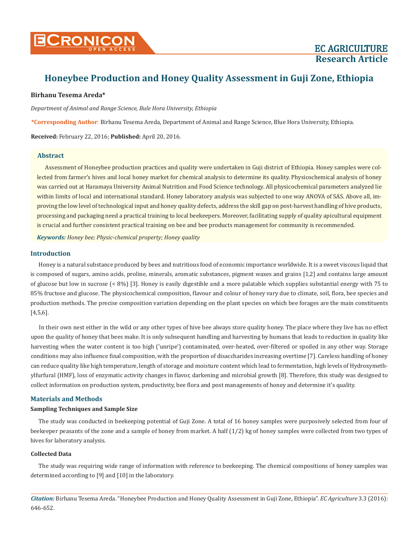

# **Honeybee Production and Honey Quality Assessment in Guji Zone, Ethiopia**

# **Birhanu Tesema Areda\***

*Department of Animal and Range Science, Bule Hora University, Ethiopia*

**\*Corresponding Author**: Birhanu Tesema Areda, Department of Animal and Range Science, Blue Hora University, Ethiopia.

**Received:** February 22, 2016; **Published:** April 20, 2016.

#### **Abstract**

Assessment of Honeybee production practices and quality were undertaken in Guji district of Ethiopia. Honey samples were collected from farmer's hives and local honey market for chemical analysis to determine its quality. Physicochemical analysis of honey was carried out at Haramaya University Animal Nutrition and Food Science technology. All physicochemical parameters analyzed lie within limits of local and international standard. Honey laboratory analysis was subjected to one way ANOVA of SAS. Above all, improving the low level of technological input and honey quality defects, address the skill gap on post-harvest handling of hive products, processing and packaging need a practical training to local beekeepers. Moreover, facilitating supply of quality apicultural equipment is crucial and further consistent practical training on bee and bee products management for community is recommended.

*Keywords: Honey bee; Physic-chemical property; Honey quality*

# **Introduction**

Honey is a natural substance produced by bees and nutritious food of economic importance worldwide. It is a sweet viscous liquid that is composed of sugars, amino acids, proline, minerals, aromatic substances, pigment waxes and grains [1,2] and contains large amount of glucose but low in sucrose (< 8%) [3]. Honey is easily digestible and a more palatable which supplies substantial energy with 75 to 85% fructose and glucose. The physicochemical composition, flavour and colour of honey vary due to climate, soil, flora, bee species and production methods. The precise composition variation depending on the plant species on which bee forages are the main constituents [4,5,6].

In their own nest either in the wild or any other types of hive bee always store quality honey. The place where they live has no effect upon the quality of honey that bees make. It is only subsequent handling and harvesting by humans that leads to reduction in quality like harvesting when the water content is too high ('unripe') contaminated, over-heated, over-filtered or spoiled in any other way. Storage conditions may also influence final composition, with the proportion of disaccharides increasing overtime [7]. Careless handling of honey can reduce quality like high temperature, length of storage and moisture content which lead to fermentation, high levels of Hydroxymethylfurfural (HMF), loss of enzymatic activity changes in flavor, darkening and microbial growth [8]. Therefore, this study was designed to collect information on production system, productivity, bee flora and post managements of honey and determine it's quality.

# **Materials and Methods**

# **Sampling Techniques and Sample Size**

The study was conducted in beekeeping potential of Guji Zone. A total of 16 honey samples were purposively selected from four of beekeeper peasants of the zone and a sample of honey from market. A half (1/2) kg of honey samples were collected from two types of hives for laboratory analysis.

# **Collected Data**

The study was requiring wide range of information with reference to beekeeping. The chemical compositions of honey samples was determined according to [9] and [10] in the laboratory.

*Citation:* Birhanu Tesema Areda. "Honeybee Production and Honey Quality Assessment in Guji Zone, Ethiopia". *EC Agriculture* 3.3 (2016): 646-652.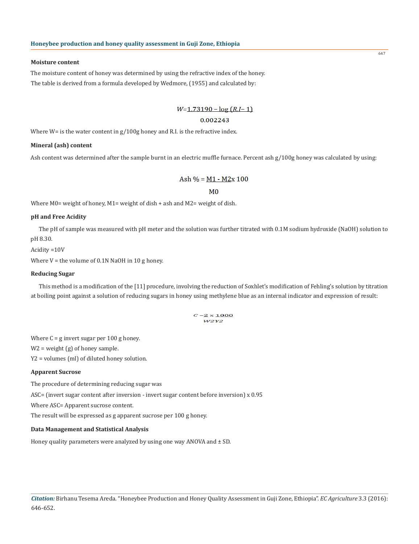#### **Moisture content**

The moisture content of honey was determined by using the refractive index of the honey. The table is derived from a formula developed by Wedmore, (1955) and calculated by:

# $W=1.73190 - log(R.I-1)$

# 0.002243

Where  $W =$  is the water content in  $g/100g$  honey and R.I. is the refractive index.

# **Mineral (ash) content**

Ash content was determined after the sample burnt in an electric muffle furnace. Percent ash g/100g honey was calculated by using:

$$
Ash\% = M1 - M2x\ 100
$$

# $M<sub>0</sub>$

Where M0= weight of honey, M1= weight of dish + ash and M2= weight of dish.

#### **pH and Free Acidity**

The pH of sample was measured with pH meter and the solution was further titrated with 0.1M sodium hydroxide (NaOH) solution to pH 8.30.

### Acidity =10V

Where  $V =$  the volume of 0.1N NaOH in 10 g honey.

#### **Reducing Sugar**

This method is a modification of the [11] procedure, involving the reduction of Soxhlet's modification of Fehling's solution by titration at boiling point against a solution of reducing sugars in honey using methylene blue as an internal indicator and expression of result:

#### $C = 2 \times 1000$  $W2Y2$

Where  $C = g$  invert sugar per 100 g honey.

W2 = weight (g) of honey sample.

Y2 = volumes (ml) of diluted honey solution.

# **Apparent Sucrose**

The procedure of determining reducing sugar was

ASC= (invert sugar content after inversion - invert sugar content before inversion) x 0.95

Where ASC= Apparent sucrose content.

The result will be expressed as g apparent sucrose per 100 g honey.

# **Data Management and Statistical Analysis**

Honey quality parameters were analyzed by using one way ANOVA and  $\pm$  SD.

647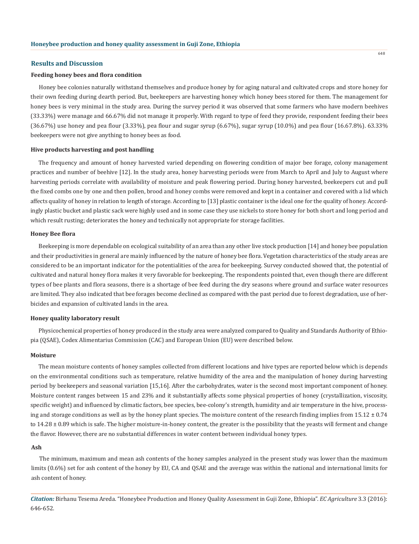#### **Results and Discussion**

#### **Feeding honey bees and flora condition**

Honey bee colonies naturally withstand themselves and produce honey by for aging natural and cultivated crops and store honey for their own feeding during dearth period. But, beekeepers are harvesting honey which honey bees stored for them. The management for honey bees is very minimal in the study area. During the survey period it was observed that some farmers who have modern beehives (33.33%) were manage and 66.67% did not manage it properly. With regard to type of feed they provide, respondent feeding their bees  $(36.67%)$  use honey and pea flour  $(3.33%)$ , pea flour and sugar syrup  $(6.67%)$ , sugar syrup  $(10.0%)$  and pea flour  $(16.67.8%)$ . 63.33% beekeepers were not give anything to honey bees as food.

#### **Hive products harvesting and post handling**

The frequency and amount of honey harvested varied depending on flowering condition of major bee forage, colony management practices and number of beehive [12]. In the study area, honey harvesting periods were from March to April and July to August where harvesting periods correlate with availability of moisture and peak flowering period. During honey harvested, beekeepers cut and pull the fixed combs one by one and then pollen, brood and honey combs were removed and kept in a container and covered with a lid which affects quality of honey in relation to length of storage. According to [13] plastic container is the ideal one for the quality of honey. Accordingly plastic bucket and plastic sack were highly used and in some case they use nickels to store honey for both short and long period and which result rusting; deteriorates the honey and technically not appropriate for storage facilities.

#### **Honey Bee flora**

Beekeeping is more dependable on ecological suitability of an area than any other live stock production [14] and honey bee population and their productivities in general are mainly influenced by the nature of honey bee flora. Vegetation characteristics of the study areas are considered to be an important indicator for the potentialities of the area for beekeeping. Survey conducted showed that, the potential of cultivated and natural honey flora makes it very favorable for beekeeping. The respondents pointed that, even though there are different types of bee plants and flora seasons, there is a shortage of bee feed during the dry seasons where ground and surface water resources are limited. They also indicated that bee forages become declined as compared with the past period due to forest degradation, use of herbicides and expansion of cultivated lands in the area.

#### **Honey quality laboratory result**

Physicochemical properties of honey produced in the study area were analyzed compared to Quality and Standards Authority of Ethiopia (QSAE), Codex Alimentarius Commission (CAC) and European Union (EU) were described below.

#### **Moisture**

The mean moisture contents of honey samples collected from different locations and hive types are reported below which is depends on the environmental conditions such as temperature, relative humidity of the area and the manipulation of honey during harvesting period by beekeepers and seasonal variation [15,16]. After the carbohydrates, water is the second most important component of honey. Moisture content ranges between 15 and 23% and it substantially affects some physical properties of honey (crystallization, viscosity, specific weight) and influenced by climatic factors, bee species, bee-colony's strength, humidity and air temperature in the hive, processing and storage conditions as well as by the honey plant species. The moisture content of the research finding implies from  $15.12 \pm 0.74$ to 14.28 ± 0.89 which is safe. The higher moisture-in-honey content, the greater is the possibility that the yeasts will ferment and change the flavor. However, there are no substantial differences in water content between individual honey types.

#### **Ash**

The minimum, maximum and mean ash contents of the honey samples analyzed in the present study was lower than the maximum limits (0.6%) set for ash content of the honey by EU, CA and QSAE and the average was within the national and international limits for ash content of honey.

*Citation:* Birhanu Tesema Areda. "Honeybee Production and Honey Quality Assessment in Guji Zone, Ethiopia". *EC Agriculture* 3.3 (2016): 646-652.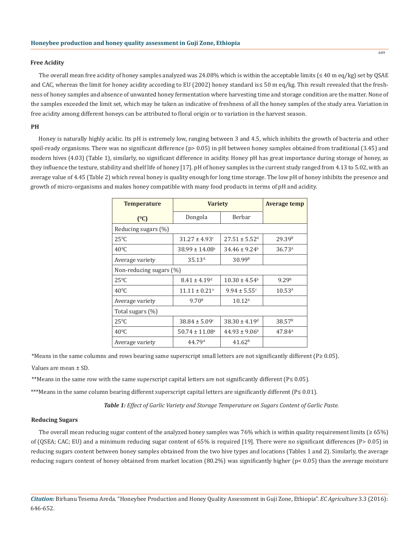#### **Free Acidity**

The overall mean free acidity of honey samples analyzed was 24.08% which is within the acceptable limits ( $\leq 40$  m eq/kg) set by QSAE and CAC, whereas the limit for honey acidity according to EU (2002) honey standard is≤ 50 m eq/kg. This result revealed that the freshness of honey samples and absence of unwanted honey fermentation where harvesting time and storage condition are the matter. None of the samples exceeded the limit set, which may be taken as indicative of freshness of all the honey samples of the study area. Variation in free acidity among different honeys can be attributed to floral origin or to variation in the harvest season.

#### **PH**

Honey is naturally highly acidic. Its pH is extremely low, ranging between 3 and 4.5, which inhibits the growth of bacteria and other spoil-ready organisms. There was no significant difference (p> 0.05) in pH between honey samples obtained from traditional (3.45) and modern hives (4.03) (Table 1), similarly, no significant difference in acidity. Honey pH has great importance during storage of honey, as they influence the texture, stability and shelf life of honey [17]. pH of honey samples in the current study ranged from 4.13 to 5.02, with an average value of 4.45 (Table 2) which reveal honey is quality enough for long time storage. The low pH of honey inhibits the presence and growth of micro-organisms and makes honey compatible with many food products in terms of pH and acidity.

| <b>Temperature</b>      | <b>Variety</b>                 |                               | Average temp       |  |  |  |  |
|-------------------------|--------------------------------|-------------------------------|--------------------|--|--|--|--|
| $(^{0}C)$               | Dongola                        | Berbar                        |                    |  |  |  |  |
| Reducing sugars (%)     |                                |                               |                    |  |  |  |  |
| $25^{\circ}$ C          | $31.27 \pm 4.93$ <sup>c</sup>  | $27.51 \pm 5.52$ <sup>d</sup> | 29.39 <sup>B</sup> |  |  |  |  |
| $40^{\circ}$ C          | $38.99 \pm 14.08$ <sup>a</sup> | $34.46 \pm 9.24^b$            | 36.73 <sup>A</sup> |  |  |  |  |
| Average variety         | 35.13 <sup>A</sup>             | 30.99 <sup>B</sup>            |                    |  |  |  |  |
| Non-reducing sugars (%) |                                |                               |                    |  |  |  |  |
| $25^{\circ}$ C          | $8.41 \pm 4.19$ <sup>d</sup>   | $10.30 \pm 4.54^b$            | 9.29 <sup>B</sup>  |  |  |  |  |
| $40^{\circ}$ C          | $11.11 \pm 0.21$ <sup>a</sup>  | $9.94 \pm 5.55$ <sup>c</sup>  | $10.53^{\text{A}}$ |  |  |  |  |
| Average variety         | 9.70 <sup>B</sup>              | $10.12^{\text{A}}$            |                    |  |  |  |  |
| Total sugars $(\%)$     |                                |                               |                    |  |  |  |  |
| $25^{\circ}$ C          | $38.84 \pm 5.09^{\circ}$       | $38.30 \pm 4.19^{\circ}$      | 38.57 <sup>B</sup> |  |  |  |  |
| $40^{\circ}$ C          | $50.74 \pm 11.08$ <sup>a</sup> | $44.93 \pm 9.06^{\circ}$      | $47.84^{\text{A}}$ |  |  |  |  |
| Average variety         | 44.79 <sup>A</sup>             | 41.62 <sup>B</sup>            |                    |  |  |  |  |

\*Means in the same columns and rows bearing same superscript small letters are not significantly different (P≥ 0.05).

Values are mean ± SD.

\*\*Means in the same row with the same superscript capital letters are not significantly different (P≤ 0.05).

\*\*\*Means in the same column bearing different superscript capital letters are significantly different (P≤ 0.01).

*Table 1: Effect of Garlic Variety and Storage Temperature on Sugars Content of Garlic Paste.*

#### **Reducing Sugars**

The overall mean reducing sugar content of the analyzed honey samples was 76% which is within quality requirement limits (≥ 65%) of (QSEA; CAC; EU) and a minimum reducing sugar content of 65% is required [19]. There were no significant differences (P> 0.05) in reducing sugars content between honey samples obtained from the two hive types and locations (Tables 1 and 2). Similarly, the average reducing sugars content of honey obtained from market location (80.2%) was significantly higher (p< 0.05) than the average moisture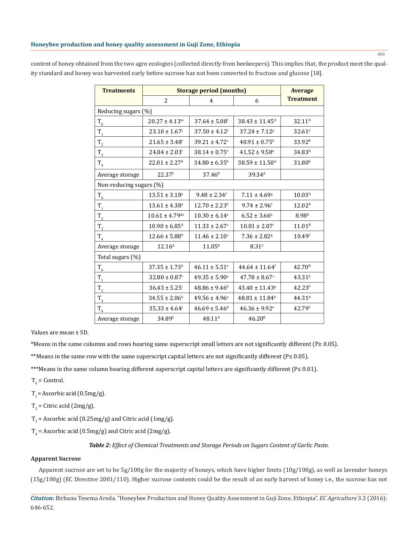| <b>Treatments</b>       | <b>Storage period (months)</b> |                               |                                |                    |  |  |
|-------------------------|--------------------------------|-------------------------------|--------------------------------|--------------------|--|--|
|                         | 2                              | $\overline{4}$                | 6                              | <b>Treatment</b>   |  |  |
| Reducing sugars (%)     |                                |                               |                                |                    |  |  |
| $T_{0}$                 | $20.27 \pm 4.13^{\rm m}$       | $37.64 \pm 5.08$ <sup>f</sup> | $38.43 \pm 11.45$ <sup>d</sup> | 32.11 <sup>D</sup> |  |  |
| $T_{1}$                 | $23.10 \pm 1.67$ <sup>j</sup>  | $37.50 \pm 4.12$ <sup>f</sup> | $37.24 \pm 7.12$ <sup>g</sup>  | 32.61c             |  |  |
| $T_{2}$                 | $21.65 \pm 3.48$ <sup>1</sup>  | $39.21 \pm 4.72$ <sup>c</sup> | $40.91\pm0.75^{\rm b}$         | 33.92 <sup>B</sup> |  |  |
| $T_{3}$                 | $24.84 \pm 2.03$ <sup>i</sup>  | $38.14 \pm 0.75$ <sup>e</sup> | $41.52 \pm 9.58$ <sup>a</sup>  | 34.83 <sup>A</sup> |  |  |
| $T_{4}$                 | $22.01 \pm 2.27$ <sup>k</sup>  | $34.80 \pm 6.35$ <sup>h</sup> | $38.59 \pm 11.50$ <sup>d</sup> | 31.80 <sup>E</sup> |  |  |
| Average storage         | 22.37 <sup>c</sup>             | 37.46 <sup>B</sup>            | 39.34 <sup>A</sup>             |                    |  |  |
| Non-reducing sugars (%) |                                |                               |                                |                    |  |  |
| $T_{0}$                 | $13.51 \pm 3.18^a$             | $9.48 \pm 2.34$ <sup>f</sup>  | $7.11 \pm 4.69$ <sup>g</sup>   | 10.03 <sup>D</sup> |  |  |
| $T_1$                   | $13.61 \pm 4.38^a$             | $12.70 \pm 2.23$ <sup>b</sup> | $9.74 \pm 2.96$ <sup>f</sup>   | 12.02 <sup>A</sup> |  |  |
| $T_{2}$                 | $10.61 \pm 4.79$ <sup>de</sup> | $10.30 \pm 6.14$ <sup>e</sup> | $6.52 \pm 3.66^{\rm h}$        | 8.98 <sup>E</sup>  |  |  |
| $\mathrm{T}_3$          | $10.90 \pm 6.85$ <sup>d</sup>  | $11.33 \pm 2.67$ <sup>c</sup> | $10.81 \pm 2.07$ <sup>i</sup>  | 11.01 <sup>B</sup> |  |  |
| $T_{4}$                 | $12.66 \pm 5.88$ <sup>b</sup>  | $11.46 \pm 2.10$ <sup>c</sup> | $7.36 \pm 2.82$ <sup>g</sup>   | 10.49 <sup>c</sup> |  |  |
| Average storage         | $12.16^{\text{A}}$             | $11.05^{\rm B}$               | 8.31 <sup>c</sup>              |                    |  |  |
| Total sugars (%)        |                                |                               |                                |                    |  |  |
| $T_{0}$                 | $37.35 \pm 1.73$ <sup>h</sup>  | $46.11 \pm 5.51$ <sup>e</sup> | $44.64 \pm 11.64$ <sup>f</sup> | 42.70 <sup>D</sup> |  |  |
| $T_{1}$                 | $32.80 \pm 0.87$ <sup>1</sup>  | $49.35 \pm 5.90^{\circ}$      | $47.78 \pm 8.67$ <sup>c</sup>  | 43.31 <sup>E</sup> |  |  |
| $T_{2}$                 | $36.43 \pm 5.25$ <sup>i</sup>  | $48.86 \pm 9.46^b$            | $43.40 \pm 11.43$ <sup>g</sup> | 42.23 <sup>F</sup> |  |  |
| $T_{3}$                 | $34.55 \pm 2.06^k$             | $49.56 \pm 4.96^a$            | $48.81 \pm 11.84$ <sup>b</sup> | 44.31 <sup>A</sup> |  |  |
| $T_{4}$                 | $35.33 \pm 4.64$               | $46.69 \pm 5.46$ <sup>d</sup> | $46.36 \pm 9.92$ <sup>e</sup>  | 42.79 <sup>c</sup> |  |  |
| Average storage         | 34.89 <sup>c</sup>             | 48.11 <sup>A</sup>            | 46.20 <sup>B</sup>             |                    |  |  |

content of honey obtained from the two agro ecologies (collected directly from beekeepers). This implies that, the product meet the quality standard and honey was harvested early before sucrose has not been converted to fructose and glucose [18].

Values are mean ± SD.

\*Means in the same columns and rows bearing same superscript small letters are not significantly different (P≥ 0.05).

\*\*Means in the same row with the same superscript capital letters are not significantly different (P≤ 0.05).

\*\*\*Means in the same column bearing different superscript capital letters are significantly different (P≤ 0.01).

 $T_0$  = Control.

 $T_1$  = Ascorbic acid (0.5mg/g).

 $T_2$  = Citric acid (2mg/g).

 $T_3$  = Ascorbic acid (0.25mg/g) and Citric acid (1mg/g).

 $T_4$  = Ascorbic acid (0.5mg/g) and Citric acid (2mg/g).

*Table 2: Effect of Chemical Treatments and Storage Periods on Sugars Content of Garlic Paste.*

# **Apparent Sucrose**

Apparent sucrose are set to be 5g/100g for the majority of honeys, which have higher limits (10g/100g), as well as lavender honeys (15g/100g) (EC Directive 2001/110). Higher sucrose contents could be the result of an early harvest of honey i.e., the sucrose has not

*Citation:* Birhanu Tesema Areda. "Honeybee Production and Honey Quality Assessment in Guji Zone, Ethiopia". *EC Agriculture* 3.3 (2016): 646-652.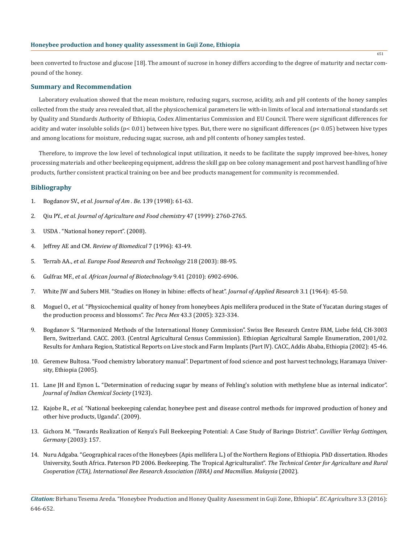# **Honeybee production and honey quality assessment in Guji Zone, Ethiopia**

been converted to fructose and glucose [18]. The amount of sucrose in honey differs according to the degree of maturity and nectar compound of the honey.

#### **Summary and Recommendation**

Laboratory evaluation showed that the mean moisture, reducing sugars, sucrose, acidity, ash and pH contents of the honey samples collected from the study area revealed that, all the physicochemical parameters lie with-in limits of local and international standards set by Quality and Standards Authority of Ethiopia, Codex Alimentarius Commission and EU Council. There were significant differences for acidity and water insoluble solids (p< 0.01) between hive types. But, there were no significant differences (p< 0.05) between hive types and among locations for moisture, reducing sugar, sucrose, ash and pH contents of honey samples tested.

Therefore, to improve the low level of technological input utilization, it needs to be facilitate the supply improved bee-hives, honey processing materials and other beekeeping equipment, address the skill gap on bee colony management and post harvest handling of hive products, further consistent practical training on bee and bee products management for community is recommended.

# **Bibliography**

- 1. Bogdanov SV., *et al. Journal of Am . Be.* 139 (1998): 61-63.
- 2. Qiu PY., *et al. Journal of Agriculture and Food chemistry* 47 (1999): 2760-2765.
- 3. USDA . "National honey report". (2008).
- 4. Jeffrey AE and CM. *Review of Biomedical* 7 (1996): 43-49.
- 5. Terrab AA., *et al. Europe Food Research and Technology* 218 (2003): 88-95.
- 6. Gulfraz MF., *et al. African Journal of Biotechnology* 9.41 (2010): 6902-6906.
- 7. White JW and Subers MH. "Studies on Honey in hibine: effects of heat". *Journal of Applied Research* 3.1 (1964): 45-50.
- 8. Moguel O., *et al.* "Physicochemical quality of honey from honeybees Apis mellifera produced in the State of Yucatan during stages of the production process and blossoms". *Tec Pecu Mex* 43.3 (2005): 323-334.
- 9. Bogdanov S. "Harmonized Methods of the International Honey Commission". Swiss Bee Research Centre FAM, Liebe feld, CH-3003 Bern, Switzerland. CACC. 2003. (Central Agricultural Census Commission). Ethiopian Agricultural Sample Enumeration, 2001/02. Results for Amhara Region, Statistical Reports on Live stock and Farm Implants (Part IV). CACC, Addis Ababa, Ethiopia (2002): 45-46.
- 10. Geremew Bultosa. "Food chemistry laboratory manual". Department of food science and post harvest technology, Haramaya University, Ethiopia (2005).
- 11. Lane JH and Eynon L. "Determination of reducing sugar by means of Fehling's solution with methylene blue as internal indicator". *Journal of Indian Chemical Society* (1923).
- 12. Kajobe R., *et al.* "National beekeeping calendar, honeybee pest and disease control methods for improved production of honey and other hive products, Uganda". (2009).
- 13. Gichora M. "Towards Realization of Kenya's Full Beekeeping Potential: A Case Study of Baringo District". *Cuvillier Verlag Gottingen, Germany* (2003): 157.
- 14. Nuru Adgaba. "Geographical races of the Honeybees (Apis mellifera L.) of the Northern Regions of Ethiopia. PhD dissertation. Rhodes University, South Africa. Paterson PD 2006. Beekeeping. The Tropical Agriculturalist". *The Technical Center for Agriculture and Rural Cooperation (CTA), International Bee Research Association (IBRA) and Macmillan. Malaysia* (2002).

*Citation:* Birhanu Tesema Areda. "Honeybee Production and Honey Quality Assessment in Guji Zone, Ethiopia". *EC Agriculture* 3.3 (2016): 646-652.

651